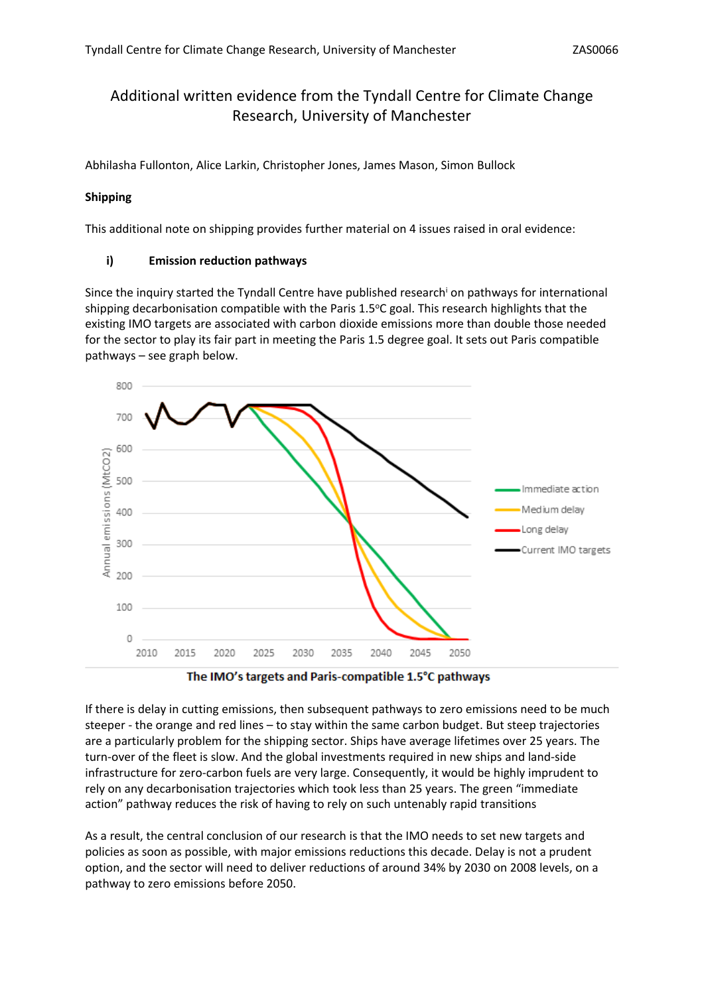# Additional written evidence from the Tyndall Centre for Climate Change Research, University of Manchester

Abhilasha Fullonton, Alice Larkin, Christopher Jones, James Mason, Simon Bullock

### **Shipping**

This additional note on shipping provides further material on 4 issues raised in oral evidence:

### **i) Emission reduction pathways**

Since the inquiry started the Tyndall Centre have published research<sup>i</sup> on pathways for international shipping decarbonisation compatible with the Paris 1.5°C goal. This research highlights that the existing IMO targets are associated with carbon dioxide emissions more than double those needed for the sector to play its fair part in meeting the Paris 1.5 degree goal. It sets out Paris compatible pathways – see graph below.





If there is delay in cutting emissions, then subsequent pathways to zero emissions need to be much steeper - the orange and red lines – to stay within the same carbon budget. But steep trajectories are a particularly problem for the shipping sector. Ships have average lifetimes over 25 years. The turn-over of the fleet is slow. And the global investments required in new ships and land-side infrastructure for zero-carbon fuels are very large. Consequently, it would be highly imprudent to rely on any decarbonisation trajectories which took less than 25 years. The green "immediate action" pathway reduces the risk of having to rely on such untenably rapid transitions

As a result, the central conclusion of our research is that the IMO needs to set new targets and policies as soon as possible, with major emissions reductions this decade. Delay is not a prudent option, and the sector will need to deliver reductions of around 34% by 2030 on 2008 levels, on a pathway to zero emissions before 2050.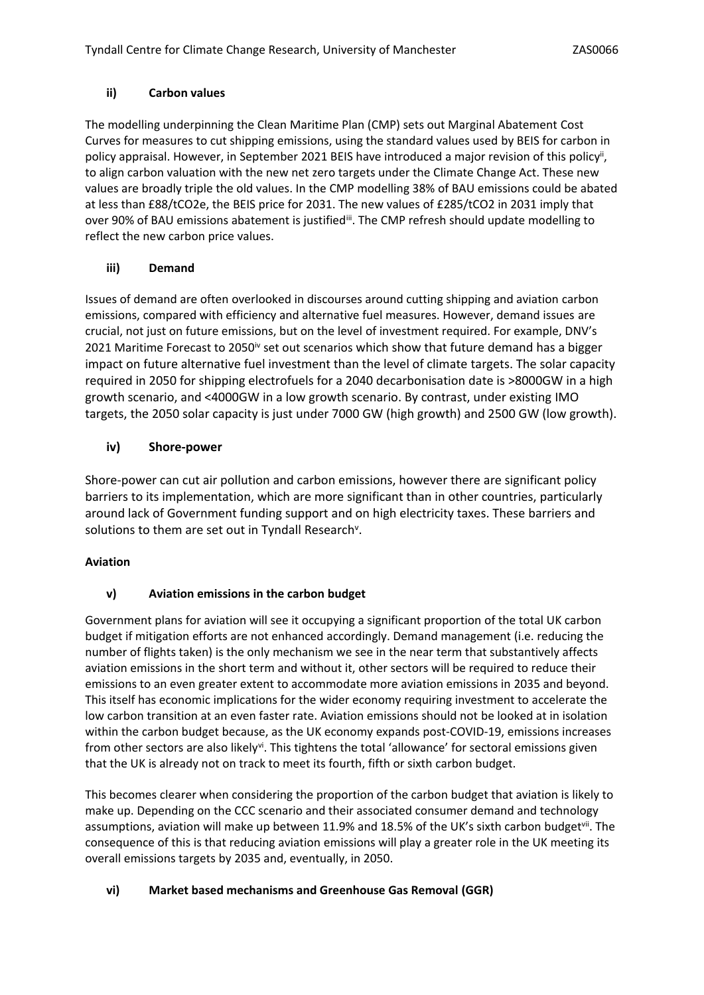## **ii) Carbon values**

The modelling underpinning the Clean Maritime Plan (CMP) sets out Marginal Abatement Cost Curves for measures to cut shipping emissions, using the standard values used by BEIS for carbon in policy appraisal. However, in September 2021 BEIS have introduced a major revision of this policy<sup>ii</sup>, to align carbon valuation with the new net zero targets under the Climate Change Act. These new values are broadly triple the old values. In the CMP modelling 38% of BAU emissions could be abated at less than £88/tCO2e, the BEIS price for 2031. The new values of £285/tCO2 in 2031 imply that over 90% of BAU emissions abatement is justifiedii. The CMP refresh should update modelling to reflect the new carbon price values.

# **iii) Demand**

Issues of demand are often overlooked in discourses around cutting shipping and aviation carbon emissions, compared with efficiency and alternative fuel measures. However, demand issues are crucial, not just on future emissions, but on the level of investment required. For example, DNV's 2021 Maritime Forecast to 2050<sup>iv</sup> set out scenarios which show that future demand has a bigger impact on future alternative fuel investment than the level of climate targets. The solar capacity required in 2050 for shipping electrofuels for a 2040 decarbonisation date is >8000GW in a high growth scenario, and <4000GW in a low growth scenario. By contrast, under existing IMO targets, the 2050 solar capacity is just under 7000 GW (high growth) and 2500 GW (low growth).

## **iv) Shore-power**

Shore-power can cut air pollution and carbon emissions, however there are significant policy barriers to its implementation, which are more significant than in other countries, particularly around lack of Government funding support and on high electricity taxes. These barriers and solutions to them are set out in Tyndall Research<sup>v</sup>.

## **Aviation**

# **v) Aviation emissions in the carbon budget**

Government plans for aviation will see it occupying a significant proportion of the total UK carbon budget if mitigation efforts are not enhanced accordingly. Demand management (i.e. reducing the number of flights taken) is the only mechanism we see in the near term that substantively affects aviation emissions in the short term and without it, other sectors will be required to reduce their emissions to an even greater extent to accommodate more aviation emissions in 2035 and beyond. This itself has economic implications for the wider economy requiring investment to accelerate the low carbon transition at an even faster rate. Aviation emissions should not be looked at in isolation within the carbon budget because, as the UK economy expands post-COVID-19, emissions increases from other sectors are also likely<sup>vi</sup>. This tightens the total 'allowance' for sectoral emissions given that the UK is already not on track to meet its fourth, fifth or sixth carbon budget.

This becomes clearer when considering the proportion of the carbon budget that aviation is likely to make up. Depending on the CCC scenario and their associated consumer demand and technology assumptions, aviation will make up between 11.9% and 18.5% of the UK's sixth carbon budget<sup>vii</sup>. The consequence of this is that reducing aviation emissions will play a greater role in the UK meeting its overall emissions targets by 2035 and, eventually, in 2050.

# **vi) Market based mechanisms and Greenhouse Gas Removal (GGR)**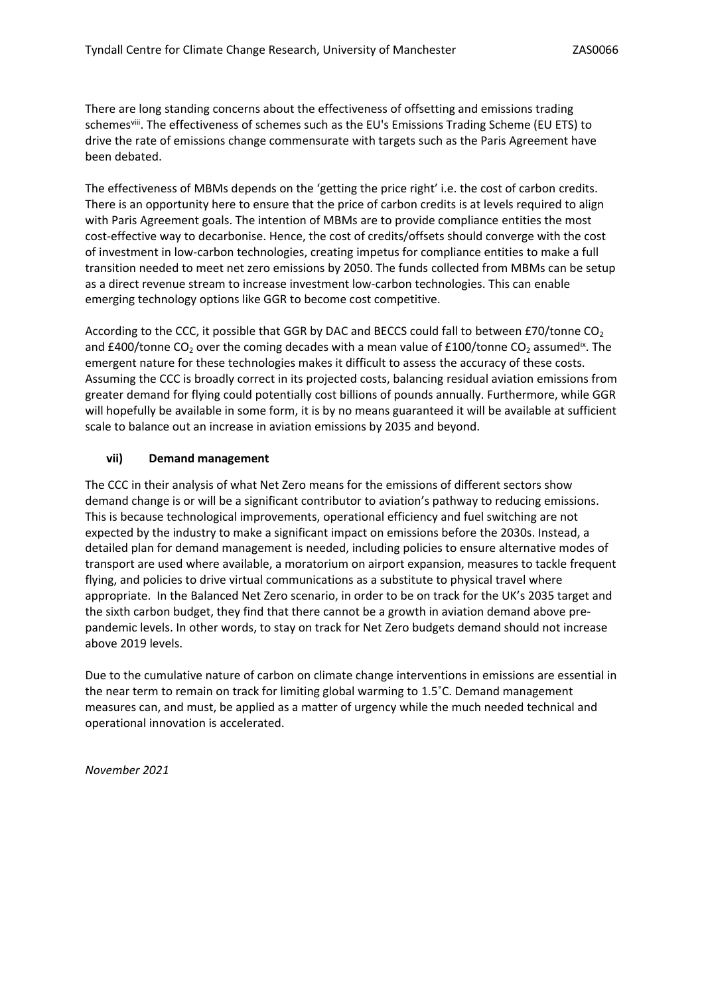There are long standing concerns about the effectiveness of offsetting and emissions trading schemes<sup>viii</sup>. The effectiveness of schemes such as the EU's Emissions Trading Scheme (EU ETS) to drive the rate of emissions change commensurate with targets such as the Paris Agreement have been debated.

The effectiveness of MBMs depends on the 'getting the price right' i.e. the cost of carbon credits. There is an opportunity here to ensure that the price of carbon credits is at levels required to align with Paris Agreement goals. The intention of MBMs are to provide compliance entities the most cost-effective way to decarbonise. Hence, the cost of credits/offsets should converge with the cost of investment in low-carbon technologies, creating impetus for compliance entities to make a full transition needed to meet net zero emissions by 2050. The funds collected from MBMs can be setup as a direct revenue stream to increase investment low-carbon technologies. This can enable emerging technology options like GGR to become cost competitive.

According to the CCC, it possible that GGR by DAC and BECCS could fall to between £70/tonne CO<sub>2</sub> and £400/tonne CO<sub>2</sub> over the coming decades with a mean value of £100/tonne CO<sub>2</sub> assumed<sup>ix</sup>. The emergent nature for these technologies makes it difficult to assess the accuracy of these costs. Assuming the CCC is broadly correct in its projected costs, balancing residual aviation emissions from greater demand for flying could potentially cost billions of pounds annually. Furthermore, while GGR will hopefully be available in some form, it is by no means guaranteed it will be available at sufficient scale to balance out an increase in aviation emissions by 2035 and beyond.

#### **vii) Demand management**

The CCC in their analysis of what Net Zero means for the emissions of different sectors show demand change is or will be a significant contributor to aviation's pathway to reducing emissions. This is because technological improvements, operational efficiency and fuel switching are not expected by the industry to make a significant impact on emissions before the 2030s. Instead, a detailed plan for demand management is needed, including policies to ensure alternative modes of transport are used where available, a moratorium on airport expansion, measures to tackle frequent flying, and policies to drive virtual communications as a substitute to physical travel where appropriate. In the Balanced Net Zero scenario, in order to be on track for the UK's 2035 target and the sixth carbon budget, they find that there cannot be a growth in aviation demand above prepandemic levels. In other words, to stay on track for Net Zero budgets demand should not increase above 2019 levels.

Due to the cumulative nature of carbon on climate change interventions in emissions are essential in the near term to remain on track for limiting global warming to 1.5˚C. Demand management measures can, and must, be applied as a matter of urgency while the much needed technical and operational innovation is accelerated.

*November 2021*